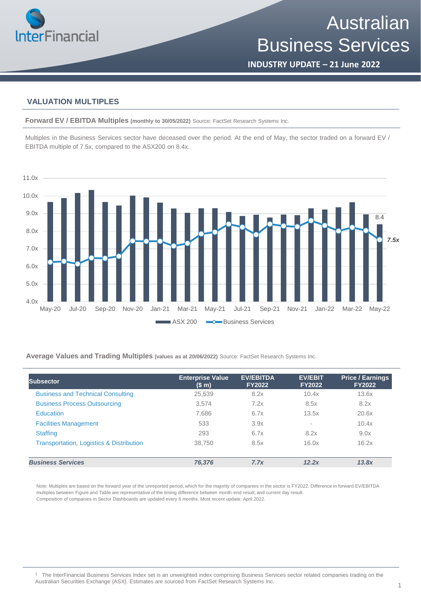

# Australian Business Services

**INDUSTRY UPDATE – 21 June 2022**

### **VALUATION MULTIPLES**

**Forward EV / EBITDA Multiples (monthly to 30/05/2022)** Source: FactSet Research Systems Inc.

Multiples in the Business Services sector have deceased over the period. At the end of May, the sector traded on a forward EV / EBITDA multiple of 7.5x, compared to the ASX200 on 8.4x.



**Average Values and Trading Multiples (values as at 20/06/2022)** Source: FactSet Research Systems Inc.

| Subsector                                           | <b>Enterprise Value</b><br>(\$m) | <b>EV/EBITDA</b><br><b>FY2022</b> | <b>EV/EBIT</b><br><b>FY2022</b> | <b>Price / Earnings</b><br><b>FY2022</b> |
|-----------------------------------------------------|----------------------------------|-----------------------------------|---------------------------------|------------------------------------------|
| <b>Business and Technical Consulting</b>            | 25,539                           | 8.2x                              | 10.4x                           | 13.6x                                    |
| <b>Business Process Outsourcing</b>                 | 3.574                            | 7.2x                              | 8.5x                            | 8.2x                                     |
| <b>Education</b>                                    | 7,686                            | 6.7x                              | 13.5x                           | 20.6x                                    |
| <b>Facilities Management</b>                        | 533                              | 3.9x                              | $\sim$                          | 10.4x                                    |
| <b>Staffing</b>                                     | 293                              | 6.7x                              | 8.2x                            | 9.0x                                     |
| <b>Transportation, Logistics &amp; Distribution</b> | 38.750                           | 8.5x                              | 16.0x                           | 16.2x                                    |
| <b>Business Services</b>                            | 76.376                           | 7.7x                              | 12.2x                           | 13.8x                                    |

Note: Multiples are based on the forward year of the unreported period, which for the majority of companies in the sector is FY2022. Difference in forward EV/EBITDA multiples between Figure and Table are representative of the timing difference between month-end result, and current day result. Composition of companies in Sector Dashboards are updated every 6 months. Most recent update: April 2022.

<sup>1</sup> The InterFinancial Business Services Index set is an unweighted index comprising Business Services sector related companies trading on the Australian Securities Exchange (ASX). Estimates are sourced from FactSet Research Systems Inc.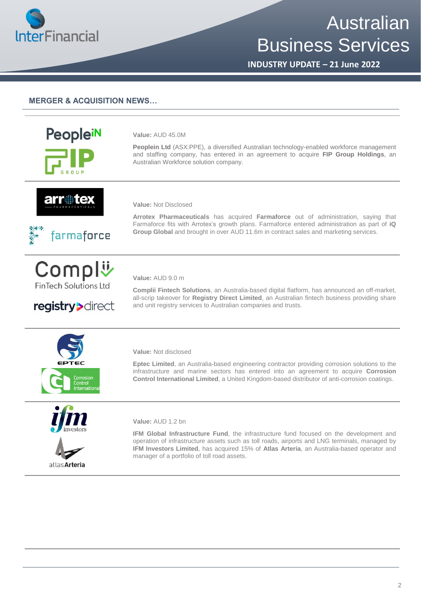

# Australian Business Services

**INDUSTRY UPDATE – 21 June 2022**

## **MERGER & ACQUISITION NEWS…**



**Value:** AUD 45.0M

**Peoplein Ltd** (ASX:PPE), a diversified Australian technology-enabled workforce management and staffing company, has entered in an agreement to acquire **FIP Group Holdings**, an Australian Workforce solution company.



**Value:** Not Disclosed

farmaforce

Compl<sup>y</sup> **FinTech Solutions Ltd** 

registry>direct



**Arrotex Pharmaceuticals** has acquired **Farmaforce** out of administration, saying that Farmaforce fits with Arrotex's growth plans. Farmaforce entered administration as part of **iQ Group Global** and brought in over AUD 11.6m in contract sales and marketing services.

#### **Value:** AUD 9.0 m

**Complii Fintech Solutions**, an Australia-based digital flatform, has announced an off-market, all-scrip takeover for **Registry Direct Limited**, an Australian fintech business providing share and unit registry services to Australian companies and trusts.



#### **Value:** Not disclosed

**Eptec Limited**, an Australia-based engineering contractor providing corrosion solutions to the infrastructure and marine sectors has entered into an agreement to acquire **Corrosion Control International Limited**, a United Kingdom-based distributor of anti-corrosion coatings.



**Value:** AUD 1.2 bn

**IFM Global Infrastructure Fund**, the infrastructure fund focused on the development and operation of infrastructure assets such as toll roads, airports and LNG terminals, managed by **IFM Investors Limited**, has acquired 15% of **Atlas Arteria**, an Australia-based operator and manager of a portfolio of toll road assets.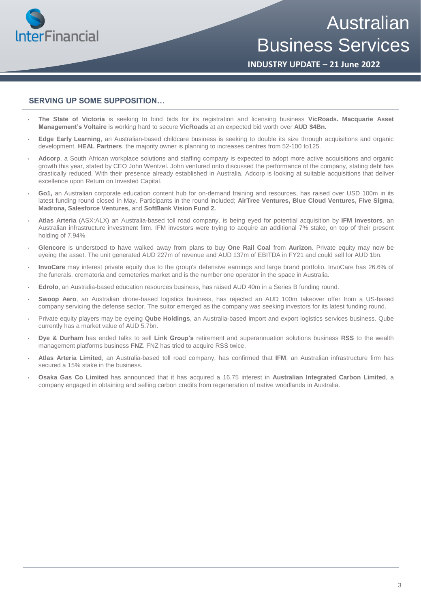

Australian Business Services

**INDUSTRY UPDATE – 21 June 2022**

## **SERVING UP SOME SUPPOSITION…**

- **The State of Victoria** is seeking to bind bids for its registration and licensing business **VicRoads. Macquarie Asset Management's Voltaire** is working hard to secure **VicRoads** at an expected bid worth over **AUD \$4Bn.**
- **Edge Early Learning**, an Australian-based childcare business is seeking to double its size through acquisitions and organic development. **HEAL Partners**, the majority owner is planning to increases centres from 52-100 to125.
- **Adcorp**, a South African workplace solutions and staffing company is expected to adopt more active acquisitions and organic growth this year, stated by CEO John Wentzel. John ventured onto discussed the performance of the company, stating debt has drastically reduced. With their presence already established in Australia, Adcorp is looking at suitable acquisitions that deliver excellence upon Return on Invested Capital.
- **Go1,** an Australian corporate education content hub for on-demand training and resources, has raised over USD 100m in its latest funding round closed in May. Participants in the round included; **AirTree Ventures, Blue Cloud Ventures, Five Sigma, Madrona, Salesforce Ventures,** and **SoftBank Vision Fund 2.**
- **Atlas Arteria** (ASX:ALX) an Australia-based toll road company, is being eyed for potential acquisition by **IFM Investors**, an Australian infrastructure investment firm. IFM investors were trying to acquire an additional 7% stake, on top of their present holding of 7.94%
- **Glencore** is understood to have walked away from plans to buy **One Rail Coal** from **Aurizon**. Private equity may now be eyeing the asset. The unit generated AUD 227m of revenue and AUD 137m of EBITDA in FY21 and could sell for AUD 1bn.
- **InvoCare** may interest private equity due to the group's defensive earnings and large brand portfolio. InvoCare has 26.6% of the funerals, crematoria and cemeteries market and is the number one operator in the space in Australia.
- **Edrolo**, an Australia-based education resources business, has raised AUD 40m in a Series B funding round.
- **Swoop Aero**, an Australian drone-based logistics business, has rejected an AUD 100m takeover offer from a US-based company servicing the defense sector. The suitor emerged as the company was seeking investors for its latest funding round.
- Private equity players may be eyeing **Qube Holdings**, an Australia-based import and export logistics services business. Qube currently has a market value of AUD 5.7bn.
- **Dye & Durham** has ended talks to sell **Link Group's** retirement and superannuation solutions business **RSS** to the wealth management platforms business **FNZ**. FNZ has tried to acquire RSS twice.
- **Atlas Arteria Limited**, an Australia-based toll road company, has confirmed that **IFM**, an Australian infrastructure firm has secured a 15% stake in the business.
- **Osaka Gas Co Limited** has announced that it has acquired a 16.75 interest in **Australian Integrated Carbon Limited**, a company engaged in obtaining and selling carbon credits from regeneration of native woodlands in Australia.